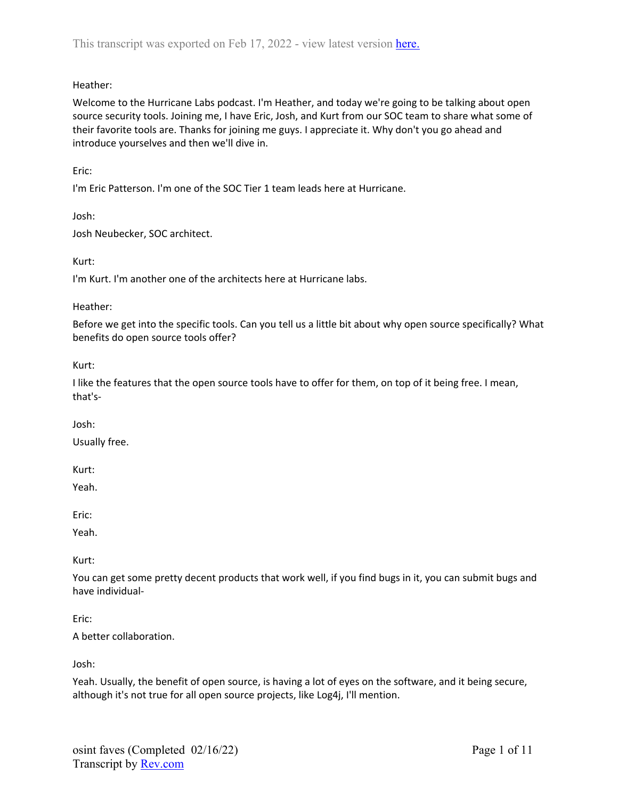# Heather:

Welcome to the Hurricane Labs podcast. I'm Heather, and today we're going to be talking about open source security tools. Joining me, I have Eric, Josh, and Kurt from our SOC team to share what some of their favorite tools are. Thanks for joining me guys. I appreciate it. Why don't you go ahead and introduce yourselves and then we'll dive in.

Eric:

I'm Eric Patterson. I'm one of the SOC Tier 1 team leads here at Hurricane.

Josh:

Josh Neubecker, SOC architect.

Kurt:

I'm Kurt. I'm another one of the architects here at Hurricane labs.

#### Heather:

Before we get into the specific tools. Can you tell us a little bit about why open source specifically? What benefits do open source tools offer?

Kurt:

I like the features that the open source tools have to offer for them, on top of it being free. I mean, that's-

Josh:

Usually free.

Kurt:

Yeah.

Eric:

Yeah.

Kurt:

You can get some pretty decent products that work well, if you find bugs in it, you can submit bugs and have individual-

Eric:

A better collaboration.

Josh:

Yeah. Usually, the benefit of open source, is having a lot of eyes on the software, and it being secure, although it's not true for all open source projects, like Log4j, I'll mention.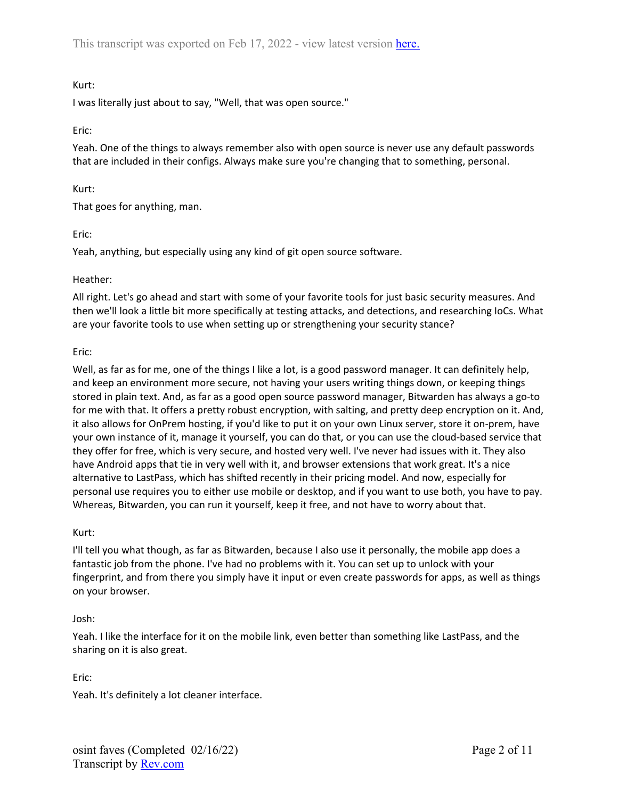I was literally just about to say, "Well, that was open source."

## Eric:

Yeah. One of the things to always remember also with open source is never use any default passwords that are included in their configs. Always make sure you're changing that to something, personal.

### Kurt:

That goes for anything, man.

### Eric:

Yeah, anything, but especially using any kind of git open source software.

### Heather:

All right. Let's go ahead and start with some of your favorite tools for just basic security measures. And then we'll look a little bit more specifically at testing attacks, and detections, and researching IoCs. What are your favorite tools to use when setting up or strengthening your security stance?

### Eric:

Well, as far as for me, one of the things I like a lot, is a good password manager. It can definitely help, and keep an environment more secure, not having your users writing things down, or keeping things stored in plain text. And, as far as a good open source password manager, Bitwarden has always a go-to for me with that. It offers a pretty robust encryption, with salting, and pretty deep encryption on it. And, it also allows for OnPrem hosting, if you'd like to put it on your own Linux server, store it on-prem, have your own instance of it, manage it yourself, you can do that, or you can use the cloud-based service that they offer for free, which is very secure, and hosted very well. I've never had issues with it. They also have Android apps that tie in very well with it, and browser extensions that work great. It's a nice alternative to LastPass, which has shifted recently in their pricing model. And now, especially for personal use requires you to either use mobile or desktop, and if you want to use both, you have to pay. Whereas, Bitwarden, you can run it yourself, keep it free, and not have to worry about that.

## Kurt:

I'll tell you what though, as far as Bitwarden, because I also use it personally, the mobile app does a fantastic job from the phone. I've had no problems with it. You can set up to unlock with your fingerprint, and from there you simply have it input or even create passwords for apps, as well as things on your browser.

## Josh:

Yeah. I like the interface for it on the mobile link, even better than something like LastPass, and the sharing on it is also great.

Eric:

Yeah. It's definitely a lot cleaner interface.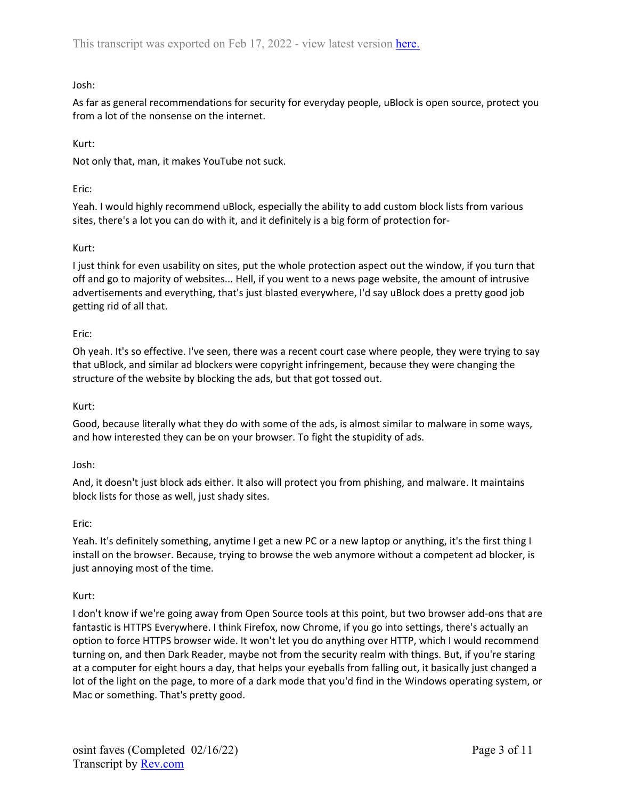# Josh:

As far as general recommendations for security for everyday people, uBlock is open source, protect you from a lot of the nonsense on the internet.

## Kurt:

Not only that, man, it makes YouTube not suck.

# Eric:

Yeah. I would highly recommend uBlock, especially the ability to add custom block lists from various sites, there's a lot you can do with it, and it definitely is a big form of protection for-

# Kurt:

I just think for even usability on sites, put the whole protection aspect out the window, if you turn that off and go to majority of websites... Hell, if you went to a news page website, the amount of intrusive advertisements and everything, that's just blasted everywhere, I'd say uBlock does a pretty good job getting rid of all that.

# Eric:

Oh yeah. It's so effective. I've seen, there was a recent court case where people, they were trying to say that uBlock, and similar ad blockers were copyright infringement, because they were changing the structure of the website by blocking the ads, but that got tossed out.

# Kurt:

Good, because literally what they do with some of the ads, is almost similar to malware in some ways, and how interested they can be on your browser. To fight the stupidity of ads.

## Josh:

And, it doesn't just block ads either. It also will protect you from phishing, and malware. It maintains block lists for those as well, just shady sites.

## Eric:

Yeah. It's definitely something, anytime I get a new PC or a new laptop or anything, it's the first thing I install on the browser. Because, trying to browse the web anymore without a competent ad blocker, is just annoying most of the time.

# Kurt:

I don't know if we're going away from Open Source tools at this point, but two browser add-ons that are fantastic is HTTPS Everywhere. I think Firefox, now Chrome, if you go into settings, there's actually an option to force HTTPS browser wide. It won't let you do anything over HTTP, which I would recommend turning on, and then Dark Reader, maybe not from the security realm with things. But, if you're staring at a computer for eight hours a day, that helps your eyeballs from falling out, it basically just changed a lot of the light on the page, to more of a dark mode that you'd find in the Windows operating system, or Mac or something. That's pretty good.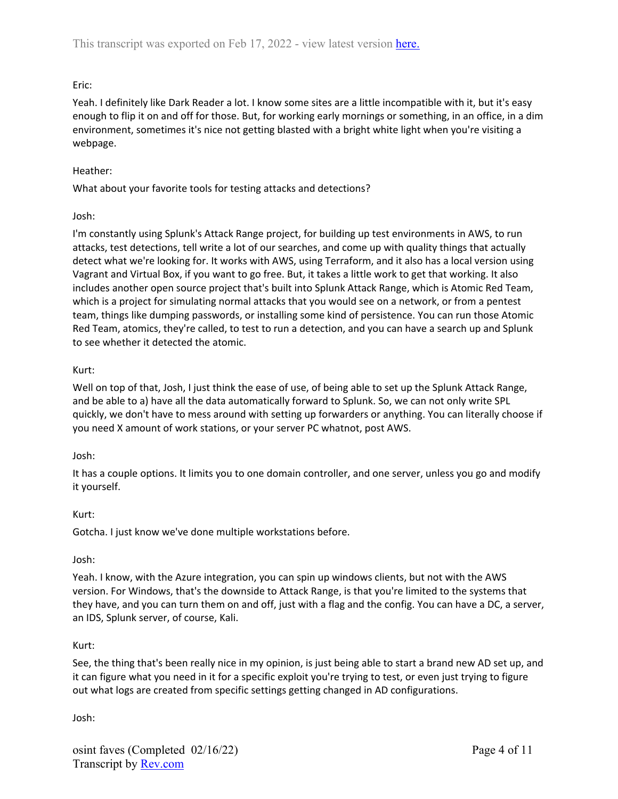# Eric:

Yeah. I definitely like Dark Reader a lot. I know some sites are a little incompatible with it, but it's easy enough to flip it on and off for those. But, for working early mornings or something, in an office, in a dim environment, sometimes it's nice not getting blasted with a bright white light when you're visiting a webpage.

## Heather:

What about your favorite tools for testing attacks and detections?

## Josh:

I'm constantly using Splunk's Attack Range project, for building up test environments in AWS, to run attacks, test detections, tell write a lot of our searches, and come up with quality things that actually detect what we're looking for. It works with AWS, using Terraform, and it also has a local version using Vagrant and Virtual Box, if you want to go free. But, it takes a little work to get that working. It also includes another open source project that's built into Splunk Attack Range, which is Atomic Red Team, which is a project for simulating normal attacks that you would see on a network, or from a pentest team, things like dumping passwords, or installing some kind of persistence. You can run those Atomic Red Team, atomics, they're called, to test to run a detection, and you can have a search up and Splunk to see whether it detected the atomic.

# Kurt:

Well on top of that, Josh, I just think the ease of use, of being able to set up the Splunk Attack Range, and be able to a) have all the data automatically forward to Splunk. So, we can not only write SPL quickly, we don't have to mess around with setting up forwarders or anything. You can literally choose if you need X amount of work stations, or your server PC whatnot, post AWS.

## Josh:

It has a couple options. It limits you to one domain controller, and one server, unless you go and modify it yourself.

## Kurt:

Gotcha. I just know we've done multiple workstations before.

## Josh:

Yeah. I know, with the Azure integration, you can spin up windows clients, but not with the AWS version. For Windows, that's the downside to Attack Range, is that you're limited to the systems that they have, and you can turn them on and off, just with a flag and the config. You can have a DC, a server, an IDS, Splunk server, of course, Kali.

## Kurt:

See, the thing that's been really nice in my opinion, is just being able to start a brand new AD set up, and it can figure what you need in it for a specific exploit you're trying to test, or even just trying to figure out what logs are created from specific settings getting changed in AD configurations.

Josh: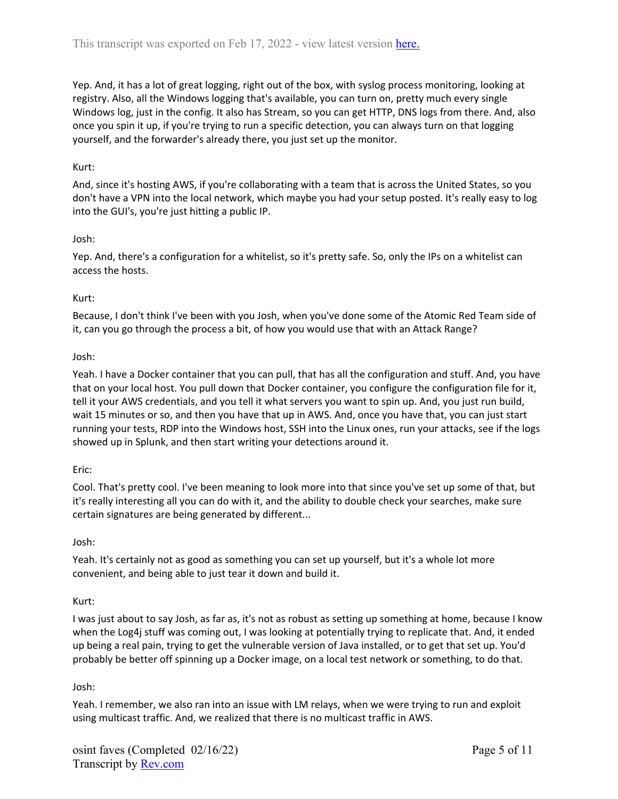Yep. And, it has a lot of great logging, right out of the box, with syslog process monitoring, looking at registry. Also, all the Windows logging that's available, you can turn on, pretty much every single Windows log, just in the config. It also has Stream, so you can get HTTP, DNS logs from there. And, also once you spin it up, if you're trying to run a specific detection, you can always turn on that logging yourself, and the forwarder's already there, you just set up the monitor.

## Kurt:

And, since it's hosting AWS, if you're collaborating with a team that is across the United States, so you don't have a VPN into the local network, which maybe you had your setup posted. It's really easy to log into the GUI's, you're just hitting a public IP.

### Josh:

Yep. And, there's a configuration for a whitelist, so it's pretty safe. So, only the IPs on a whitelist can access the hosts.

### Kurt:

Because, I don't think I've been with you Josh, when you've done some of the Atomic Red Team side of it, can you go through the process a bit, of how you would use that with an Attack Range?

### Josh:

Yeah. I have a Docker container that you can pull, that has all the configuration and stuff. And, you have that on your local host. You pull down that Docker container, you configure the configuration file for it, tell it your AWS credentials, and you tell it what servers you want to spin up. And, you just run build, wait 15 minutes or so, and then you have that up in AWS. And, once you have that, you can just start running your tests, RDP into the Windows host, SSH into the Linux ones, run your attacks, see if the logs showed up in Splunk, and then start writing your detections around it.

#### Eric:

Cool. That's pretty cool. I've been meaning to look more into that since you've set up some of that, but it's really interesting all you can do with it, and the ability to double check your searches, make sure certain signatures are being generated by different...

#### Josh:

Yeah. It's certainly not as good as something you can set up yourself, but it's a whole lot more convenient, and being able to just tear it down and build it.

#### Kurt:

I was just about to say Josh, as far as, it's not as robust as setting up something at home, because I know when the Log4j stuff was coming out, I was looking at potentially trying to replicate that. And, it ended up being a real pain, trying to get the vulnerable version of Java installed, or to get that set up. You'd probably be better off spinning up a Docker image, on a local test network or something, to do that.

#### Josh:

Yeah. I remember, we also ran into an issue with LM relays, when we were trying to run and exploit using multicast traffic. And, we realized that there is no multicast traffic in AWS.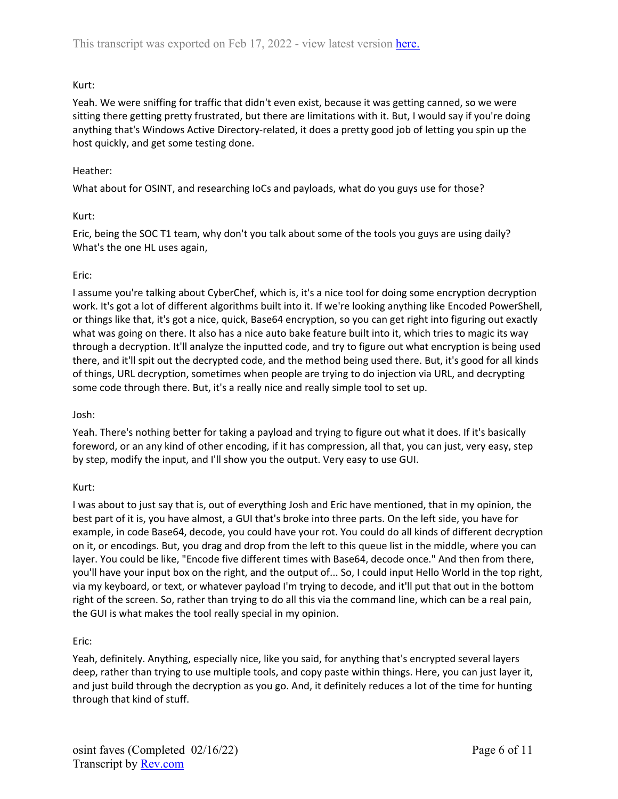Yeah. We were sniffing for traffic that didn't even exist, because it was getting canned, so we were sitting there getting pretty frustrated, but there are limitations with it. But, I would say if you're doing anything that's Windows Active Directory-related, it does a pretty good job of letting you spin up the host quickly, and get some testing done.

## Heather:

What about for OSINT, and researching IoCs and payloads, what do you guys use for those?

### Kurt:

Eric, being the SOC T1 team, why don't you talk about some of the tools you guys are using daily? What's the one HL uses again,

### Eric:

I assume you're talking about CyberChef, which is, it's a nice tool for doing some encryption decryption work. It's got a lot of different algorithms built into it. If we're looking anything like Encoded PowerShell, or things like that, it's got a nice, quick, Base64 encryption, so you can get right into figuring out exactly what was going on there. It also has a nice auto bake feature built into it, which tries to magic its way through a decryption. It'll analyze the inputted code, and try to figure out what encryption is being used there, and it'll spit out the decrypted code, and the method being used there. But, it's good for all kinds of things, URL decryption, sometimes when people are trying to do injection via URL, and decrypting some code through there. But, it's a really nice and really simple tool to set up.

#### Josh:

Yeah. There's nothing better for taking a payload and trying to figure out what it does. If it's basically foreword, or an any kind of other encoding, if it has compression, all that, you can just, very easy, step by step, modify the input, and I'll show you the output. Very easy to use GUI.

## Kurt:

I was about to just say that is, out of everything Josh and Eric have mentioned, that in my opinion, the best part of it is, you have almost, a GUI that's broke into three parts. On the left side, you have for example, in code Base64, decode, you could have your rot. You could do all kinds of different decryption on it, or encodings. But, you drag and drop from the left to this queue list in the middle, where you can layer. You could be like, "Encode five different times with Base64, decode once." And then from there, you'll have your input box on the right, and the output of... So, I could input Hello World in the top right, via my keyboard, or text, or whatever payload I'm trying to decode, and it'll put that out in the bottom right of the screen. So, rather than trying to do all this via the command line, which can be a real pain, the GUI is what makes the tool really special in my opinion.

## Eric:

Yeah, definitely. Anything, especially nice, like you said, for anything that's encrypted several layers deep, rather than trying to use multiple tools, and copy paste within things. Here, you can just layer it, and just build through the decryption as you go. And, it definitely reduces a lot of the time for hunting through that kind of stuff.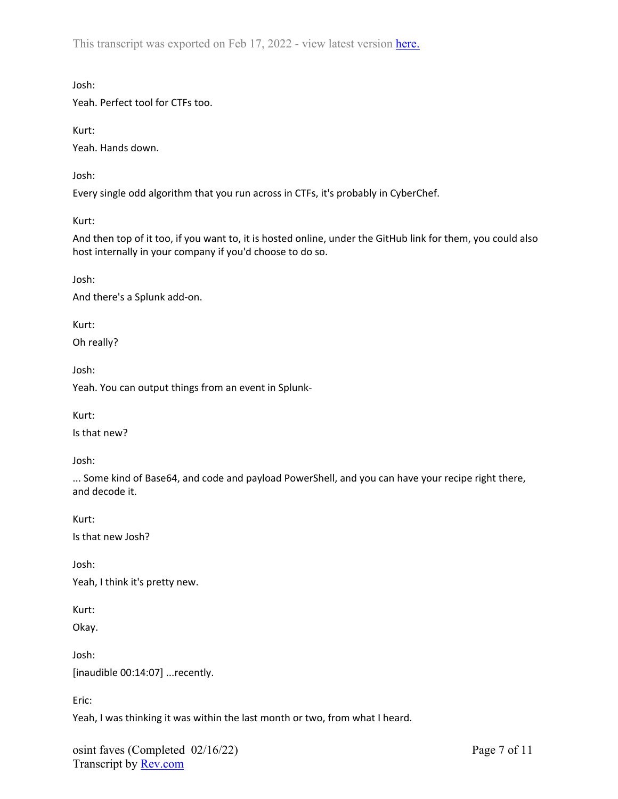This transcript was exported on Feb 17, 2022 - view latest version [here.](https://www.rev.com/transcript-editor/Edit?token=8weva4_MNB25EXSev2JJUneYeuit2OxsI_KhKTSxclbh39RJuYEnzAM7B32I_DxjnMHk40ttuSZQWaxu0G_p5ghU1kw&loadFrom=DocumentHeaderDeepLink)

Josh:

Yeah. Perfect tool for CTFs too.

Kurt:

Yeah. Hands down.

Josh:

Every single odd algorithm that you run across in CTFs, it's probably in CyberChef.

Kurt:

And then top of it too, if you want to, it is hosted online, under the GitHub link for them, you could also host internally in your company if you'd choose to do so.

Josh:

And there's a Splunk add-on.

Kurt:

Oh really?

Josh:

Yeah. You can output things from an event in Splunk-

Kurt:

Is that new?

Josh:

... Some kind of Base64, and code and payload PowerShell, and you can have your recipe right there, and decode it.

Kurt:

Is that new Josh?

Josh:

Yeah, I think it's pretty new.

Kurt:

Okay.

Josh: [inaudible 00:14:07] ...recently.

Eric:

Yeah, I was thinking it was within the last month or two, from what I heard.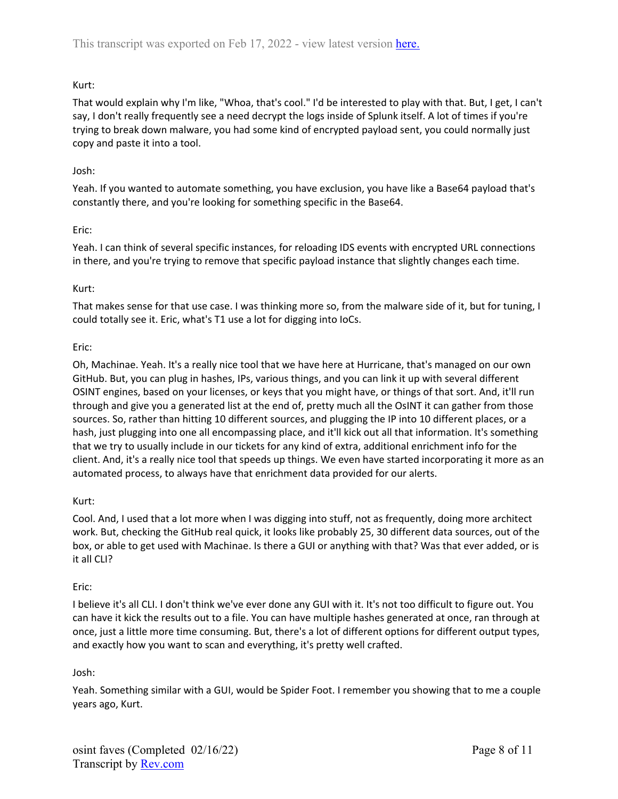That would explain why I'm like, "Whoa, that's cool." I'd be interested to play with that. But, I get, I can't say, I don't really frequently see a need decrypt the logs inside of Splunk itself. A lot of times if you're trying to break down malware, you had some kind of encrypted payload sent, you could normally just copy and paste it into a tool.

## Josh:

Yeah. If you wanted to automate something, you have exclusion, you have like a Base64 payload that's constantly there, and you're looking for something specific in the Base64.

## Eric:

Yeah. I can think of several specific instances, for reloading IDS events with encrypted URL connections in there, and you're trying to remove that specific payload instance that slightly changes each time.

## Kurt:

That makes sense for that use case. I was thinking more so, from the malware side of it, but for tuning, I could totally see it. Eric, what's T1 use a lot for digging into IoCs.

### Eric:

Oh, Machinae. Yeah. It's a really nice tool that we have here at Hurricane, that's managed on our own GitHub. But, you can plug in hashes, IPs, various things, and you can link it up with several different OSINT engines, based on your licenses, or keys that you might have, or things of that sort. And, it'll run through and give you a generated list at the end of, pretty much all the OsINT it can gather from those sources. So, rather than hitting 10 different sources, and plugging the IP into 10 different places, or a hash, just plugging into one all encompassing place, and it'll kick out all that information. It's something that we try to usually include in our tickets for any kind of extra, additional enrichment info for the client. And, it's a really nice tool that speeds up things. We even have started incorporating it more as an automated process, to always have that enrichment data provided for our alerts.

## Kurt:

Cool. And, I used that a lot more when I was digging into stuff, not as frequently, doing more architect work. But, checking the GitHub real quick, it looks like probably 25, 30 different data sources, out of the box, or able to get used with Machinae. Is there a GUI or anything with that? Was that ever added, or is it all CLI?

#### Eric:

I believe it's all CLI. I don't think we've ever done any GUI with it. It's not too difficult to figure out. You can have it kick the results out to a file. You can have multiple hashes generated at once, ran through at once, just a little more time consuming. But, there's a lot of different options for different output types, and exactly how you want to scan and everything, it's pretty well crafted.

## Josh:

Yeah. Something similar with a GUI, would be Spider Foot. I remember you showing that to me a couple years ago, Kurt.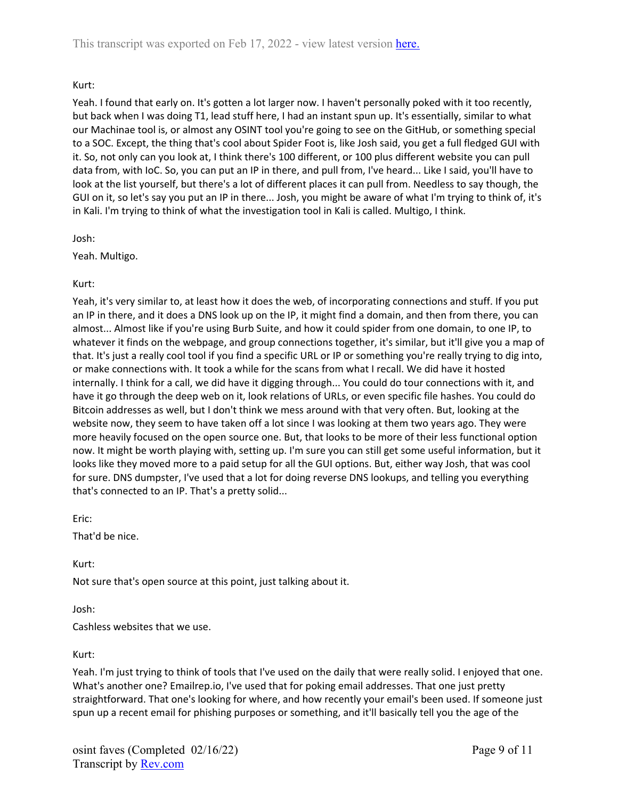Yeah. I found that early on. It's gotten a lot larger now. I haven't personally poked with it too recently, but back when I was doing T1, lead stuff here, I had an instant spun up. It's essentially, similar to what our Machinae tool is, or almost any OSINT tool you're going to see on the GitHub, or something special to a SOC. Except, the thing that's cool about Spider Foot is, like Josh said, you get a full fledged GUI with it. So, not only can you look at, I think there's 100 different, or 100 plus different website you can pull data from, with IoC. So, you can put an IP in there, and pull from, I've heard... Like I said, you'll have to look at the list yourself, but there's a lot of different places it can pull from. Needless to say though, the GUI on it, so let's say you put an IP in there... Josh, you might be aware of what I'm trying to think of, it's in Kali. I'm trying to think of what the investigation tool in Kali is called. Multigo, I think.

Josh:

Yeah. Multigo.

Kurt:

Yeah, it's very similar to, at least how it does the web, of incorporating connections and stuff. If you put an IP in there, and it does a DNS look up on the IP, it might find a domain, and then from there, you can almost... Almost like if you're using Burb Suite, and how it could spider from one domain, to one IP, to whatever it finds on the webpage, and group connections together, it's similar, but it'll give you a map of that. It's just a really cool tool if you find a specific URL or IP or something you're really trying to dig into, or make connections with. It took a while for the scans from what I recall. We did have it hosted internally. I think for a call, we did have it digging through... You could do tour connections with it, and have it go through the deep web on it, look relations of URLs, or even specific file hashes. You could do Bitcoin addresses as well, but I don't think we mess around with that very often. But, looking at the website now, they seem to have taken off a lot since I was looking at them two years ago. They were more heavily focused on the open source one. But, that looks to be more of their less functional option now. It might be worth playing with, setting up. I'm sure you can still get some useful information, but it looks like they moved more to a paid setup for all the GUI options. But, either way Josh, that was cool for sure. DNS dumpster, I've used that a lot for doing reverse DNS lookups, and telling you everything that's connected to an IP. That's a pretty solid...

Eric:

That'd be nice.

Kurt:

Not sure that's open source at this point, just talking about it.

Josh:

Cashless websites that we use.

Kurt:

Yeah. I'm just trying to think of tools that I've used on the daily that were really solid. I enjoyed that one. What's another one? Emailrep.io, I've used that for poking email addresses. That one just pretty straightforward. That one's looking for where, and how recently your email's been used. If someone just spun up a recent email for phishing purposes or something, and it'll basically tell you the age of the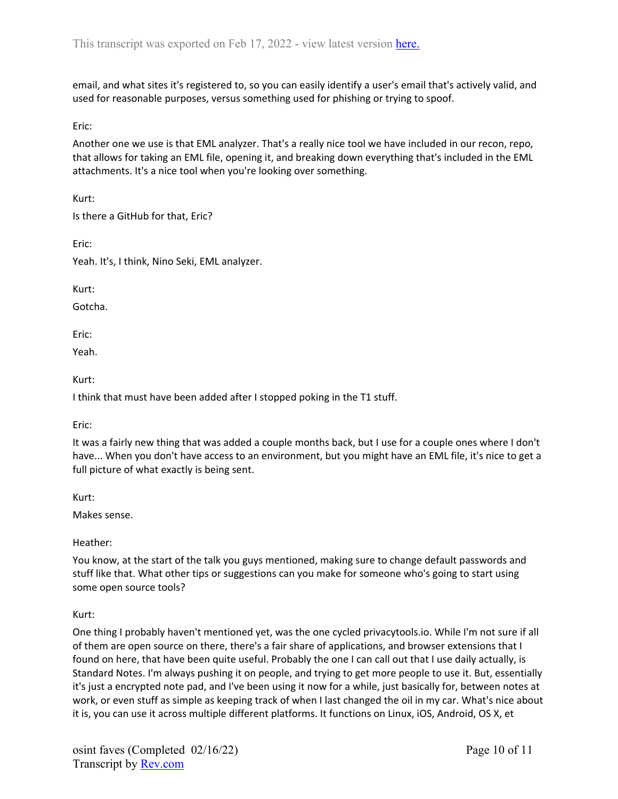email, and what sites it's registered to, so you can easily identify a user's email that's actively valid, and used for reasonable purposes, versus something used for phishing or trying to spoof.

Eric:

Another one we use is that EML analyzer. That's a really nice tool we have included in our recon, repo, that allows for taking an EML file, opening it, and breaking down everything that's included in the EML attachments. It's a nice tool when you're looking over something.

Kurt:

Is there a GitHub for that, Eric?

Eric:

Yeah. It's, I think, Nino Seki, EML analyzer.

Kurt:

Gotcha.

Eric:

Yeah.

Kurt:

I think that must have been added after I stopped poking in the T1 stuff.

Eric:

It was a fairly new thing that was added a couple months back, but I use for a couple ones where I don't have... When you don't have access to an environment, but you might have an EML file, it's nice to get a full picture of what exactly is being sent.

Kurt:

Makes sense.

Heather:

You know, at the start of the talk you guys mentioned, making sure to change default passwords and stuff like that. What other tips or suggestions can you make for someone who's going to start using some open source tools?

Kurt:

One thing I probably haven't mentioned yet, was the one cycled privacytools.io. While I'm not sure if all of them are open source on there, there's a fair share of applications, and browser extensions that I found on here, that have been quite useful. Probably the one I can call out that I use daily actually, is Standard Notes. I'm always pushing it on people, and trying to get more people to use it. But, essentially it's just a encrypted note pad, and I've been using it now for a while, just basically for, between notes at work, or even stuff as simple as keeping track of when I last changed the oil in my car. What's nice about it is, you can use it across multiple different platforms. It functions on Linux, iOS, Android, OS X, et